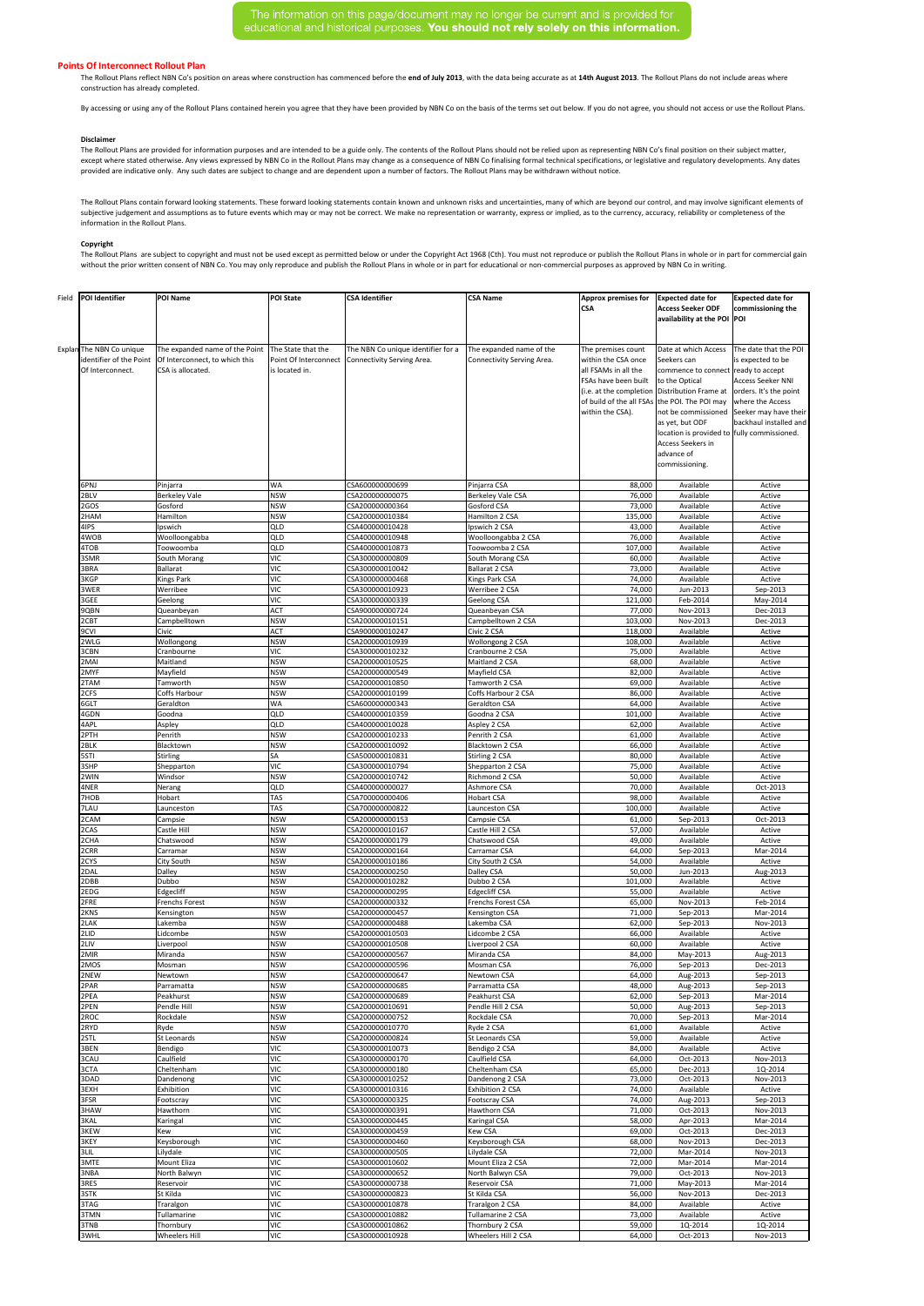The information on this page/document may no longer be current and is provided for educational and historical purposes. You should not rely solely on this information.

## **Points Of Interconnect Rollout Plan**

|  | Field   POI Identifier                                                  | <b>POI Name</b>                                                                       | <b>POI State</b>                                              | <b>CSA Identifier</b>                                            | <b>CSA Name</b>                                        | <b>Approx premises for</b><br><b>CSA</b>                                                                      | <b>Expected date for</b><br><b>Access Seeker ODF</b><br>availability at the POI POI                                                                                                                                                                                                                                                                                                | <b>Expected date for</b><br>commissioning the                                                                                                 |
|--|-------------------------------------------------------------------------|---------------------------------------------------------------------------------------|---------------------------------------------------------------|------------------------------------------------------------------|--------------------------------------------------------|---------------------------------------------------------------------------------------------------------------|------------------------------------------------------------------------------------------------------------------------------------------------------------------------------------------------------------------------------------------------------------------------------------------------------------------------------------------------------------------------------------|-----------------------------------------------------------------------------------------------------------------------------------------------|
|  | Explan The NBN Co unique<br>identifier of the Point<br>Of Interconnect. | The expanded name of the Point<br>Of Interconnect, to which this<br>CSA is allocated. | The State that the<br>Point Of Interconnect<br>is located in. | The NBN Co unique identifier for a<br>Connectivity Serving Area. | The expanded name of the<br>Connectivity Serving Area. | The premises count<br>within the CSA once<br>all FSAMs in all the<br>FSAs have been built<br>within the CSA). | Date at which Access<br>Seekers can<br>commence to connect ready to accept<br>to the Optical<br>(i.e. at the completion Distribution Frame at $\vert$ orders. It's the point<br>of build of the all FSAs the POI. The POI may<br>not be commissioned<br>as yet, but ODF<br>location is provided to fully commissioned.<br><b>Access Seekers in</b><br>advance of<br>commissioning. | The date that the POI<br>is expected to be<br><b>Access Seeker NNI</b><br>where the Access<br>Seeker may have their<br>backhaul installed and |
|  | 6PNJ                                                                    | Pinjarra                                                                              | <b>WA</b>                                                     | CSA600000000699                                                  | Pinjarra CSA                                           | 88,000                                                                                                        | Available                                                                                                                                                                                                                                                                                                                                                                          | Active                                                                                                                                        |
|  | 2BLV<br>2GOS                                                            | <b>Berkeley Vale</b><br>Gosford                                                       | <b>NSW</b><br><b>NSW</b>                                      | CSA200000000075<br>CSA200000000364                               | <b>Berkeley Vale CSA</b><br>Gosford CSA                | 76,000<br>73,000                                                                                              | Available<br>Available                                                                                                                                                                                                                                                                                                                                                             | Active<br>Active                                                                                                                              |
|  | 2HAM                                                                    | Hamilton                                                                              | <b>NSW</b>                                                    | CSA200000010384                                                  | Hamilton 2 CSA                                         | 135,000                                                                                                       | Available                                                                                                                                                                                                                                                                                                                                                                          | Active                                                                                                                                        |
|  | 4IPS                                                                    | Ipswich                                                                               | <b>QLD</b>                                                    | CSA400000010428                                                  | Ipswich 2 CSA                                          | 43,000                                                                                                        | Available                                                                                                                                                                                                                                                                                                                                                                          | Active                                                                                                                                        |
|  | 4WOB<br>4TOB                                                            | Woolloongabba<br>Toowoomba                                                            | QLD<br>QLD                                                    | CSA400000010948<br>CSA400000010873                               | Woolloongabba 2 CSA<br>Toowoomba 2 CSA                 | 76,000<br>107,000                                                                                             | Available<br>Available                                                                                                                                                                                                                                                                                                                                                             | Active<br>Active                                                                                                                              |
|  | 3SMR                                                                    | South Morang                                                                          | <b>VIC</b>                                                    | CSA300000000809                                                  | South Morang CSA                                       | 60,000                                                                                                        | Available                                                                                                                                                                                                                                                                                                                                                                          | Active                                                                                                                                        |
|  | 3BRA                                                                    | <b>Ballarat</b>                                                                       | <b>VIC</b>                                                    | CSA300000010042                                                  | <b>Ballarat 2 CSA</b>                                  | 73,000                                                                                                        | Available                                                                                                                                                                                                                                                                                                                                                                          | Active                                                                                                                                        |
|  | 3KGP                                                                    | <b>Kings Park</b>                                                                     | <b>VIC</b>                                                    | CSA300000000468                                                  | Kings Park CSA                                         | 74,000                                                                                                        | Available                                                                                                                                                                                                                                                                                                                                                                          | Active                                                                                                                                        |
|  | 3WER<br>3GEE                                                            | Werribee<br>Geelong                                                                   | <b>VIC</b><br><b>VIC</b>                                      | CSA300000010923<br>CSA300000000339                               | Werribee 2 CSA<br><b>Geelong CSA</b>                   | 74,000<br>121,000                                                                                             | Jun-2013<br>Feb-2014                                                                                                                                                                                                                                                                                                                                                               | Sep-2013<br>May-2014                                                                                                                          |
|  | 9QBN                                                                    | Queanbeyan                                                                            | <b>ACT</b>                                                    | CSA900000000724                                                  | Queanbeyan CSA                                         | 77,000                                                                                                        | Nov-2013                                                                                                                                                                                                                                                                                                                                                                           | Dec-2013                                                                                                                                      |
|  | 2CBT                                                                    | Campbelltown                                                                          | <b>NSW</b>                                                    | CSA200000010151                                                  | Campbelltown 2 CSA                                     | 103,000                                                                                                       | Nov-2013                                                                                                                                                                                                                                                                                                                                                                           | Dec-2013                                                                                                                                      |
|  | 9CVI<br>2WLG                                                            | Civic<br>Wollongong                                                                   | <b>ACT</b><br><b>NSW</b>                                      | CSA900000010247<br>CSA200000010939                               | Civic 2 CSA<br>Wollongong 2 CSA                        | 118,000<br>108,000                                                                                            | Available<br>Available                                                                                                                                                                                                                                                                                                                                                             | Active<br>Active                                                                                                                              |
|  | 3CBN                                                                    | Cranbourne                                                                            | <b>VIC</b>                                                    | CSA300000010232                                                  | Cranbourne 2 CSA                                       | 75,000                                                                                                        | Available                                                                                                                                                                                                                                                                                                                                                                          | Active                                                                                                                                        |
|  | 2MAI                                                                    | Maitland                                                                              | <b>NSW</b>                                                    | CSA200000010525                                                  | Maitland 2 CSA                                         | 68,000                                                                                                        | Available                                                                                                                                                                                                                                                                                                                                                                          | Active                                                                                                                                        |
|  | 2MYF                                                                    | Mayfield                                                                              | <b>NSW</b>                                                    | CSA200000000549                                                  | Mayfield CSA                                           | 82,000                                                                                                        | Available                                                                                                                                                                                                                                                                                                                                                                          | Active                                                                                                                                        |
|  | 2TAM<br>2CFS                                                            | Tamworth<br>Coffs Harbour                                                             | <b>NSW</b><br><b>NSW</b>                                      | CSA200000010850<br>CSA200000010199                               | Tamworth 2 CSA<br>Coffs Harbour 2 CSA                  | 69,000<br>86,000                                                                                              | Available<br>Available                                                                                                                                                                                                                                                                                                                                                             | Active<br>Active                                                                                                                              |
|  | 6GLT                                                                    | Geraldton                                                                             | <b>WA</b>                                                     | CSA600000000343                                                  | <b>Geraldton CSA</b>                                   | 64,000                                                                                                        | Available                                                                                                                                                                                                                                                                                                                                                                          | Active                                                                                                                                        |
|  | 4GDN                                                                    | Goodna                                                                                | QLD                                                           | CSA400000010359                                                  | Goodna 2 CSA                                           | 101,000                                                                                                       | Available                                                                                                                                                                                                                                                                                                                                                                          | Active                                                                                                                                        |
|  | 4APL<br>2PTH                                                            | Aspley<br>Penrith                                                                     | QLD<br><b>NSW</b>                                             | CSA400000010028<br>CSA200000010233                               | Aspley 2 CSA<br>Penrith 2 CSA                          | 62,000<br>61,000                                                                                              | Available<br>Available                                                                                                                                                                                                                                                                                                                                                             | Active<br>Active                                                                                                                              |
|  | 2BLK                                                                    | Blacktown                                                                             | <b>NSW</b>                                                    | CSA200000010092                                                  | Blacktown 2 CSA                                        | 66,000                                                                                                        | Available                                                                                                                                                                                                                                                                                                                                                                          | Active                                                                                                                                        |
|  | 5STI                                                                    | <b>Stirling</b>                                                                       | SA                                                            | CSA500000010831                                                  | Stirling 2 CSA                                         | 80,000                                                                                                        | Available                                                                                                                                                                                                                                                                                                                                                                          | Active                                                                                                                                        |
|  | 3SHP<br>2WIN                                                            | Shepparton<br>Windsor                                                                 | <b>VIC</b><br><b>NSW</b>                                      | CSA300000010794<br>CSA200000010742                               | Shepparton 2 CSA<br>Richmond 2 CSA                     | 75,000                                                                                                        | Available<br>Available                                                                                                                                                                                                                                                                                                                                                             | Active                                                                                                                                        |
|  | 4NER                                                                    | Nerang                                                                                | QLD                                                           | CSA400000000027                                                  | Ashmore CSA                                            | 50,000<br>70,000                                                                                              | Available                                                                                                                                                                                                                                                                                                                                                                          | Active<br>Oct-2013                                                                                                                            |
|  | 7HOB                                                                    | Hobart                                                                                | <b>TAS</b>                                                    | CSA700000000406                                                  | <b>Hobart CSA</b>                                      | 98,000                                                                                                        | Available                                                                                                                                                                                                                                                                                                                                                                          | Active                                                                                                                                        |
|  | 7LAU                                                                    | Launceston                                                                            | <b>TAS</b>                                                    | CSA700000000822                                                  | Launceston CSA                                         | 100,000                                                                                                       | Available                                                                                                                                                                                                                                                                                                                                                                          | Active                                                                                                                                        |
|  | 2CAM<br>2CAS                                                            | Campsie<br>Castle Hill                                                                | <b>NSW</b><br><b>NSW</b>                                      | CSA200000000153<br>CSA200000010167                               | Campsie CSA<br>Castle Hill 2 CSA                       | 61,000<br>57,000                                                                                              | Sep-2013<br>Available                                                                                                                                                                                                                                                                                                                                                              | Oct-2013<br>Active                                                                                                                            |
|  | 2CHA                                                                    | Chatswood                                                                             | <b>NSW</b>                                                    | CSA200000000179                                                  | Chatswood CSA                                          | 49,000                                                                                                        | Available                                                                                                                                                                                                                                                                                                                                                                          | Active                                                                                                                                        |
|  | 2CRR                                                                    | Carramar                                                                              | <b>NSW</b>                                                    | CSA200000000164                                                  | Carramar CSA                                           | 64,000                                                                                                        | Sep-2013                                                                                                                                                                                                                                                                                                                                                                           | Mar-2014                                                                                                                                      |
|  | 2CYS<br>2DAL                                                            | City South<br>Dalley                                                                  | <b>NSW</b><br><b>NSW</b>                                      | CSA200000010186<br>CSA200000000250                               | City South 2 CSA<br>Dalley CSA                         | 54,000<br>50,000                                                                                              | Available<br>Jun-2013                                                                                                                                                                                                                                                                                                                                                              | Active                                                                                                                                        |
|  | 2DBB                                                                    | Dubbo                                                                                 | <b>NSW</b>                                                    | CSA200000010282                                                  | Dubbo 2 CSA                                            | 101,000                                                                                                       | Available                                                                                                                                                                                                                                                                                                                                                                          | Aug-2013<br>Active                                                                                                                            |
|  | 2EDG                                                                    | Edgecliff                                                                             | <b>NSW</b>                                                    | CSA200000000295                                                  | <b>Edgecliff CSA</b>                                   | 55,000                                                                                                        | Available                                                                                                                                                                                                                                                                                                                                                                          | Active                                                                                                                                        |
|  | 2FRE                                                                    | <b>Frenchs Forest</b>                                                                 | <b>NSW</b>                                                    | CSA200000000332                                                  | <b>Frenchs Forest CSA</b>                              | 65,000                                                                                                        | Nov-2013                                                                                                                                                                                                                                                                                                                                                                           | Feb-2014                                                                                                                                      |
|  | 2KNS<br>2LAK                                                            | Kensington<br>Lakemba                                                                 | <b>NSW</b><br><b>NSW</b>                                      | CSA200000000457<br>CSA200000000488                               | Kensington CSA<br>Lakemba CSA                          | 71,000<br>62,000                                                                                              | Sep-2013<br>Sep-2013                                                                                                                                                                                                                                                                                                                                                               | Mar-2014<br>Nov-2013                                                                                                                          |
|  | 2LID                                                                    | Lidcombe                                                                              | <b>NSW</b>                                                    | CSA200000010503                                                  | Lidcombe 2 CSA                                         | 66,000                                                                                                        | Available                                                                                                                                                                                                                                                                                                                                                                          | Active                                                                                                                                        |
|  | 2LIV                                                                    | Liverpool                                                                             | <b>NSW</b>                                                    | CSA200000010508                                                  | Liverpool 2 CSA                                        | 60,000                                                                                                        | Available                                                                                                                                                                                                                                                                                                                                                                          | Active                                                                                                                                        |
|  | 2MIR<br>2MOS                                                            | Miranda<br>Mosman                                                                     | <b>NSW</b><br><b>NSW</b>                                      | CSA200000000567<br>CSA200000000596                               | Miranda CSA<br>Mosman CSA                              | 84,000<br>76,000                                                                                              | May-2013<br>Sep-2013                                                                                                                                                                                                                                                                                                                                                               | Aug-2013<br>Dec-2013                                                                                                                          |
|  | 2NEW                                                                    | Newtown                                                                               | <b>NSW</b>                                                    | CSA200000000647                                                  | Newtown CSA                                            | 64,000                                                                                                        | Aug-2013                                                                                                                                                                                                                                                                                                                                                                           | Sep-2013                                                                                                                                      |
|  | 2PAR                                                                    | Parramatta                                                                            | <b>NSW</b>                                                    | CSA200000000685                                                  | Parramatta CSA                                         | 48,000                                                                                                        | Aug-2013                                                                                                                                                                                                                                                                                                                                                                           | Sep-2013                                                                                                                                      |
|  | 2PEA<br>2PEN                                                            | Peakhurst<br>Pendle Hill                                                              | <b>NSW</b><br><b>NSW</b>                                      | CSA200000000689<br>CSA200000010691                               | Peakhurst CSA<br>Pendle Hill 2 CSA                     | 62,000<br>50,000                                                                                              | Sep-2013<br>Aug-2013                                                                                                                                                                                                                                                                                                                                                               | Mar-2014<br>Sep-2013                                                                                                                          |
|  | 2ROC                                                                    | Rockdale                                                                              | <b>NSW</b>                                                    | CSA200000000752                                                  | Rockdale CSA                                           | 70,000                                                                                                        | Sep-2013                                                                                                                                                                                                                                                                                                                                                                           | Mar-2014                                                                                                                                      |
|  | 2RYD                                                                    | Ryde                                                                                  | <b>NSW</b>                                                    | CSA200000010770                                                  | Ryde 2 CSA                                             | 61,000                                                                                                        | Available                                                                                                                                                                                                                                                                                                                                                                          | Active                                                                                                                                        |
|  | 2STL                                                                    | St Leonards                                                                           | <b>NSW</b>                                                    | CSA200000000824                                                  | St Leonards CSA                                        | 59,000                                                                                                        | Available                                                                                                                                                                                                                                                                                                                                                                          | Active                                                                                                                                        |
|  | 3BEN<br>3CAU                                                            | Bendigo<br>Caulfield                                                                  | <b>VIC</b><br><b>VIC</b>                                      | CSA300000010073<br>CSA300000000170                               | Bendigo 2 CSA<br>Caulfield CSA                         | 84,000<br>64,000                                                                                              | Available<br>Oct-2013                                                                                                                                                                                                                                                                                                                                                              | Active<br>Nov-2013                                                                                                                            |
|  | 3CTA                                                                    | Cheltenham                                                                            | <b>VIC</b>                                                    | CSA300000000180                                                  | Cheltenham CSA                                         | 65,000                                                                                                        | Dec-2013                                                                                                                                                                                                                                                                                                                                                                           | 1Q-2014                                                                                                                                       |
|  | 3DAD                                                                    | Dandenong                                                                             | <b>VIC</b>                                                    | CSA300000010252                                                  | Dandenong 2 CSA                                        | 73,000                                                                                                        | Oct-2013                                                                                                                                                                                                                                                                                                                                                                           | Nov-2013                                                                                                                                      |
|  | 3EXH<br>3FSR                                                            | Exhibition<br>Footscray                                                               | <b>VIC</b><br><b>VIC</b>                                      | CSA300000010316<br>CSA300000000325                               | Exhibition 2 CSA<br><b>Footscray CSA</b>               | 74,000<br>74,000                                                                                              | Available<br>Aug-2013                                                                                                                                                                                                                                                                                                                                                              | Active<br>Sep-2013                                                                                                                            |
|  | 3HAW                                                                    | Hawthorn                                                                              | <b>VIC</b>                                                    | CSA300000000391                                                  | Hawthorn CSA                                           | 71,000                                                                                                        | Oct-2013                                                                                                                                                                                                                                                                                                                                                                           | Nov-2013                                                                                                                                      |
|  | 3KAL                                                                    | Karingal                                                                              | <b>VIC</b>                                                    | CSA300000000445                                                  | <b>Karingal CSA</b>                                    | 58,000                                                                                                        | Apr-2013                                                                                                                                                                                                                                                                                                                                                                           | Mar-2014                                                                                                                                      |
|  | 3KEW<br>3KEY                                                            | Kew<br>Keysborough                                                                    | <b>VIC</b><br><b>VIC</b>                                      | CSA300000000459<br>CSA300000000460                               | <b>Kew CSA</b><br>Keysborough CSA                      | 69,000<br>68,000                                                                                              | Oct-2013<br>Nov-2013                                                                                                                                                                                                                                                                                                                                                               | Dec-2013<br>Dec-2013                                                                                                                          |
|  | 3LIL                                                                    | Lilydale                                                                              | <b>VIC</b>                                                    | CSA300000000505                                                  | Lilydale CSA                                           | 72,000                                                                                                        | Mar-2014                                                                                                                                                                                                                                                                                                                                                                           | Nov-2013                                                                                                                                      |
|  | 3MTE                                                                    | Mount Eliza                                                                           | <b>VIC</b>                                                    | CSA300000010602                                                  | Mount Eliza 2 CSA                                      | 72,000                                                                                                        | Mar-2014                                                                                                                                                                                                                                                                                                                                                                           | Mar-2014                                                                                                                                      |
|  | 3NBA                                                                    | North Balwyn                                                                          | <b>VIC</b><br><b>VIC</b>                                      | CSA300000000652                                                  | North Balwyn CSA                                       | 79,000                                                                                                        | Oct-2013                                                                                                                                                                                                                                                                                                                                                                           | Nov-2013                                                                                                                                      |
|  | 3RES<br>3STK                                                            | Reservoir<br>St Kilda                                                                 | <b>VIC</b>                                                    | CSA300000000738<br>CSA300000000823                               | Reservoir CSA<br>St Kilda CSA                          | 71,000<br>56,000                                                                                              | May-2013<br>Nov-2013                                                                                                                                                                                                                                                                                                                                                               | Mar-2014<br>Dec-2013                                                                                                                          |
|  | 3TAG                                                                    | Traralgon                                                                             | <b>VIC</b>                                                    | CSA300000010878                                                  | Traralgon 2 CSA                                        | 84,000                                                                                                        | Available                                                                                                                                                                                                                                                                                                                                                                          | Active                                                                                                                                        |
|  | 3TMN                                                                    | Tullamarine                                                                           | <b>VIC</b>                                                    | CSA300000010882                                                  | Tullamarine 2 CSA                                      | 73,000                                                                                                        | Available                                                                                                                                                                                                                                                                                                                                                                          | Active                                                                                                                                        |
|  | 3TNB<br>3WHL                                                            | Thornbury<br><b>Wheelers Hill</b>                                                     | <b>VIC</b><br><b>VIC</b>                                      | CSA300000010862<br>CSA300000010928                               | Thornbury 2 CSA<br>Wheelers Hill 2 CSA                 | 59,000<br>64,000                                                                                              | 1Q-2014<br>Oct-2013                                                                                                                                                                                                                                                                                                                                                                | 1Q-2014<br>Nov-2013                                                                                                                           |
|  |                                                                         |                                                                                       |                                                               |                                                                  |                                                        |                                                                                                               |                                                                                                                                                                                                                                                                                                                                                                                    |                                                                                                                                               |

The Rollout Plans reflect NBN Co's position on areas where construction has commenced before the end of July 2013, with the data being accurate as at 14th August 2013. The Rollout Plans do not include areas where construction has already completed.

By accessing or using any of the Rollout Plans contained herein you agree that they have been provided by NBN Co on the basis of the terms set out below. If you do not agree, you should not access or use the Rollout Plans.

The Rollout Plans are provided for information purposes and are intended to be a guide only. The contents of the Rollout Plans should not be relied upon as representing NBN Co's final position on their subject matter, except where stated otherwise. Any views expressed by NBN Co in the Rollout Plans may change as a consequence of NBN Co finalising formal technical specifications, or legislative and regulatory developments. Any dates provided are indicative only. Any such dates are subject to change and are dependent upon a number of factors. The Rollout Plans may be withdrawn without notice.

The Rollout Plans contain forward looking statements. These forward looking statements contain known and unknown risks and uncertainties, many of which are beyond our control, and may involve significant elements of subjective judgement and assumptions as to future events which may or may not be correct. We make no representation or warranty, express or implied, as to the currency, accuracy, reliability or completeness of the information in the Rollout Plans.

## **Disclaimer**

## **Copyright**

The Rollout Plans are subject to copyright and must not be used except as permitted below or under the Copyright Act 1968 (Cth). You must not reproduce or publish the Rollout Plans in whole or in part for commercial gain without the prior written consent of NBN Co. You may only reproduce and publish the Rollout Plans in whole or in part for educational or non-commercial purposes as approved by NBN Co in writing.